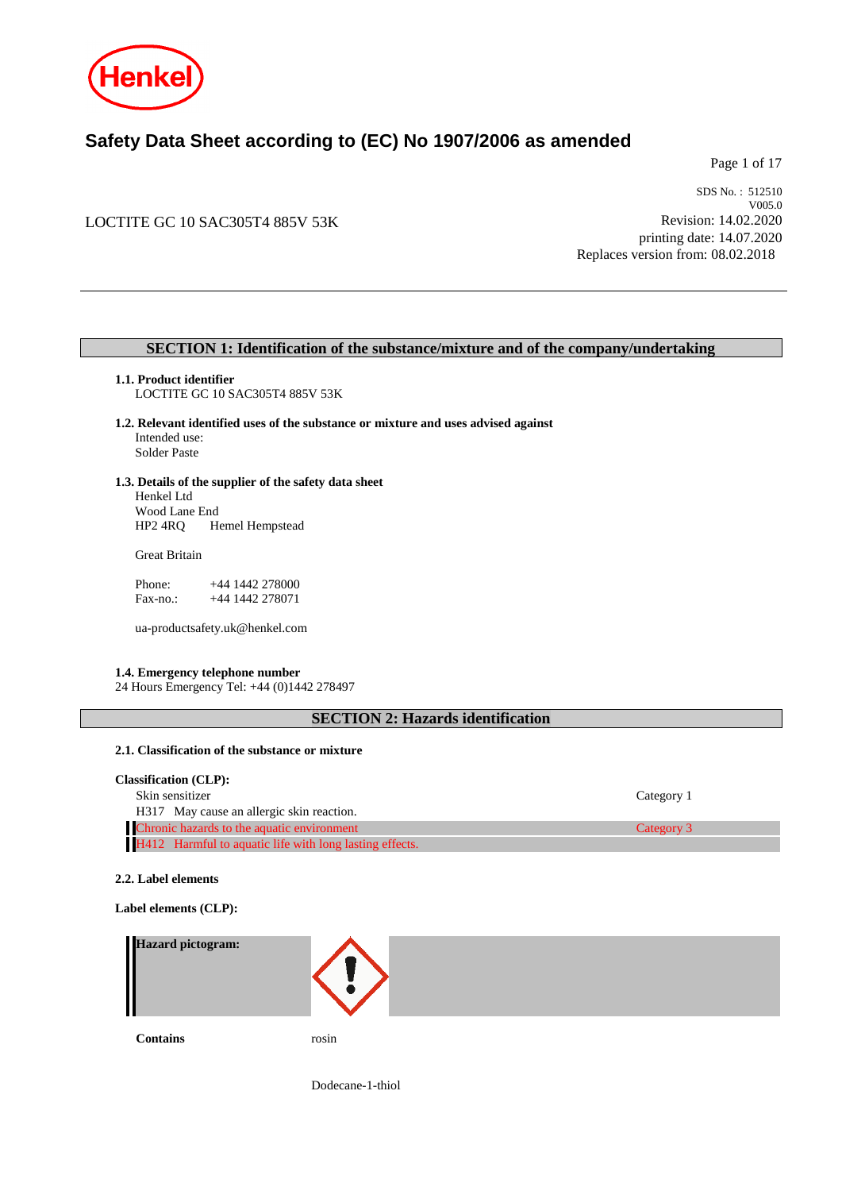

# **Safety Data Sheet according to (EC) No 1907/2006 as amended**

Page 1 of 17

# LOCTITE GC 10 SAC305T4 885V 53K

SDS No. : 512510 V005.0 Revision: 14.02.2020 printing date: 14.07.2020 Replaces version from: 08.02.2018

# **SECTION 1: Identification of the substance/mixture and of the company/undertaking**

- **1.1. Product identifier** LOCTITE GC 10 SAC305T4 885V 53K
- **1.2. Relevant identified uses of the substance or mixture and uses advised against** Intended use: Solder Paste
- **1.3. Details of the supplier of the safety data sheet** Henkel Ltd Wood Lane End<br>HP2 4RQ H Hemel Hempstead

Great Britain

Phone: +44 1442 278000<br>Fax-no.: +44 1442 278071 +44 1442 278071

ua-productsafety.uk@henkel.com

### **1.4. Emergency telephone number**

24 Hours Emergency Tel: +44 (0)1442 278497

# **SECTION 2: Hazards identification**

## **2.1. Classification of the substance or mixture**

| <b>Classification (CLP):</b>                            |            |
|---------------------------------------------------------|------------|
| Skin sensitizer                                         | Category 1 |
| H317 May cause an allergic skin reaction.               |            |
| Chronic hazards to the aquatic environment              | Category 3 |
| H412 Harmful to aquatic life with long lasting effects. |            |

### **2.2. Label elements**

#### **Label elements (CLP):**

| Hazard pictogram:<br>Ш |       |
|------------------------|-------|
| <b>Contains</b>        | rosin |

Dodecane-1-thiol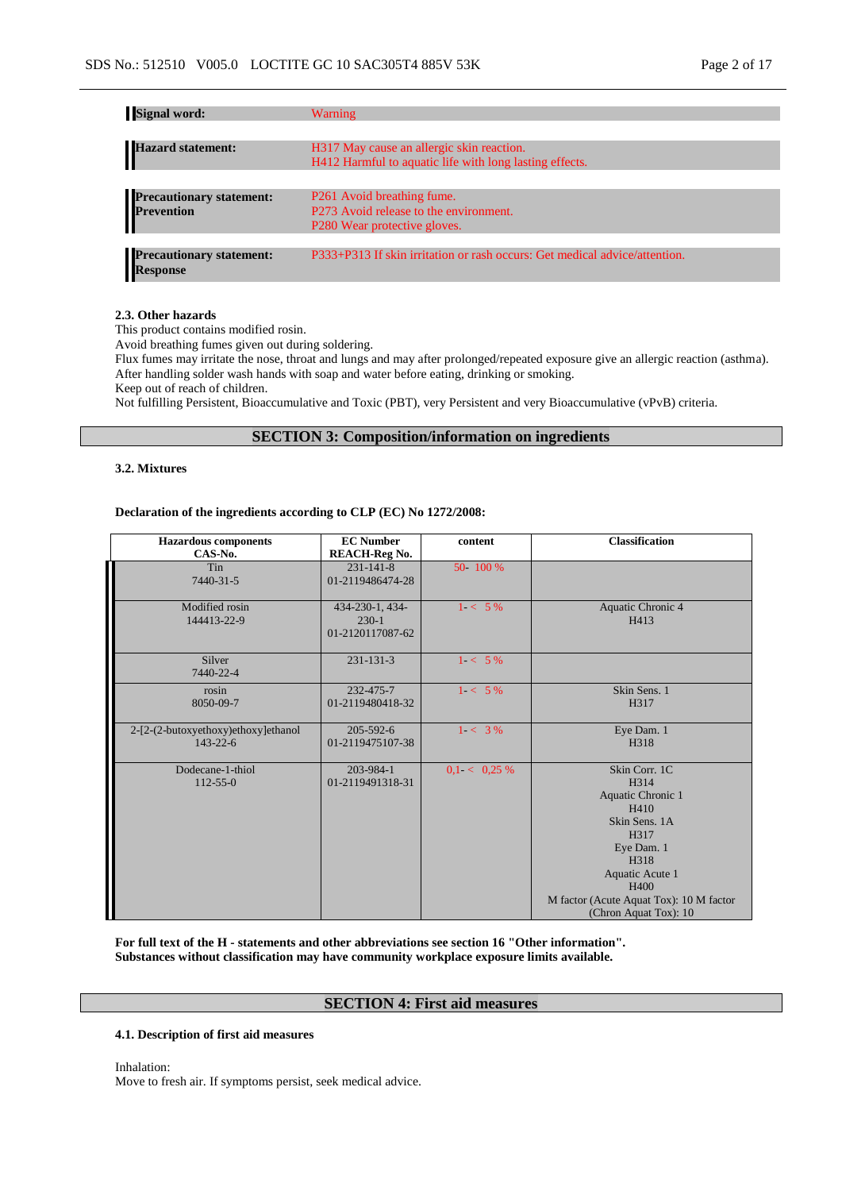| <b>Signal word:</b>                                | Warning                                                                    |
|----------------------------------------------------|----------------------------------------------------------------------------|
|                                                    |                                                                            |
| Hazard statement:                                  | H317 May cause an allergic skin reaction.                                  |
|                                                    | H412 Harmful to aquatic life with long lasting effects.                    |
|                                                    |                                                                            |
|                                                    | P <sub>261</sub> Avoid breathing fume.                                     |
| <b>Precautionary statement:</b><br>Prevention      | P273 Avoid release to the environment.                                     |
|                                                    | P <sub>280</sub> Wear protective gloves.                                   |
|                                                    |                                                                            |
| <b>Precautionary statement:</b><br><b>Response</b> | P333+P313 If skin irritation or rash occurs: Get medical advice/attention. |

#### **2.3. Other hazards**

This product contains modified rosin.

Avoid breathing fumes given out during soldering.

Flux fumes may irritate the nose, throat and lungs and may after prolonged/repeated exposure give an allergic reaction (asthma). After handling solder wash hands with soap and water before eating, drinking or smoking.

Keep out of reach of children.

Not fulfilling Persistent, Bioaccumulative and Toxic (PBT), very Persistent and very Bioaccumulative (vPvB) criteria.

# **SECTION 3: Composition/information on ingredients**

#### **3.2. Mixtures**

#### **Declaration of the ingredients according to CLP (EC) No 1272/2008:**

| <b>Hazardous</b> components<br>CAS-No.                | <b>EC Number</b><br><b>REACH-Reg No.</b>       | content      | <b>Classification</b>                                                                                                                                                                            |
|-------------------------------------------------------|------------------------------------------------|--------------|--------------------------------------------------------------------------------------------------------------------------------------------------------------------------------------------------|
| Tin<br>7440-31-5                                      | $231 - 141 - 8$<br>01-2119486474-28            | 50 100 %     |                                                                                                                                                                                                  |
| Modified rosin<br>144413-22-9                         | 434-230-1, 434-<br>$230-1$<br>01-2120117087-62 | $1 < 5\%$    | Aquatic Chronic 4<br>H413                                                                                                                                                                        |
| Silver<br>7440-22-4                                   | $231 - 131 - 3$                                | $1 < 5\%$    |                                                                                                                                                                                                  |
| rosin<br>8050-09-7                                    | 232-475-7<br>01-2119480418-32                  | $1 - 5\%$    | Skin Sens. 1<br>H317                                                                                                                                                                             |
| 2-[2-(2-butoxyethoxy)ethoxy]ethanol<br>$143 - 22 - 6$ | $205 - 592 - 6$<br>01-2119475107-38            | $1 < 3\%$    | Eye Dam. 1<br>H318                                                                                                                                                                               |
| Dodecane-1-thiol<br>$112 - 55 - 0$                    | 203-984-1<br>01-2119491318-31                  | 0.1 < 0.25 % | Skin Corr. 1C<br>H314<br>Aquatic Chronic 1<br>H410<br>Skin Sens. 1A<br>H317<br>Eye Dam. 1<br>H318<br>Aquatic Acute 1<br>H400<br>M factor (Acute Aquat Tox): 10 M factor<br>(Chron Aquat Tox): 10 |

**For full text of the H - statements and other abbreviations see section 16 "Other information". Substances without classification may have community workplace exposure limits available.**

### **SECTION 4: First aid measures**

#### **4.1. Description of first aid measures**

Inhalation: Move to fresh air. If symptoms persist, seek medical advice.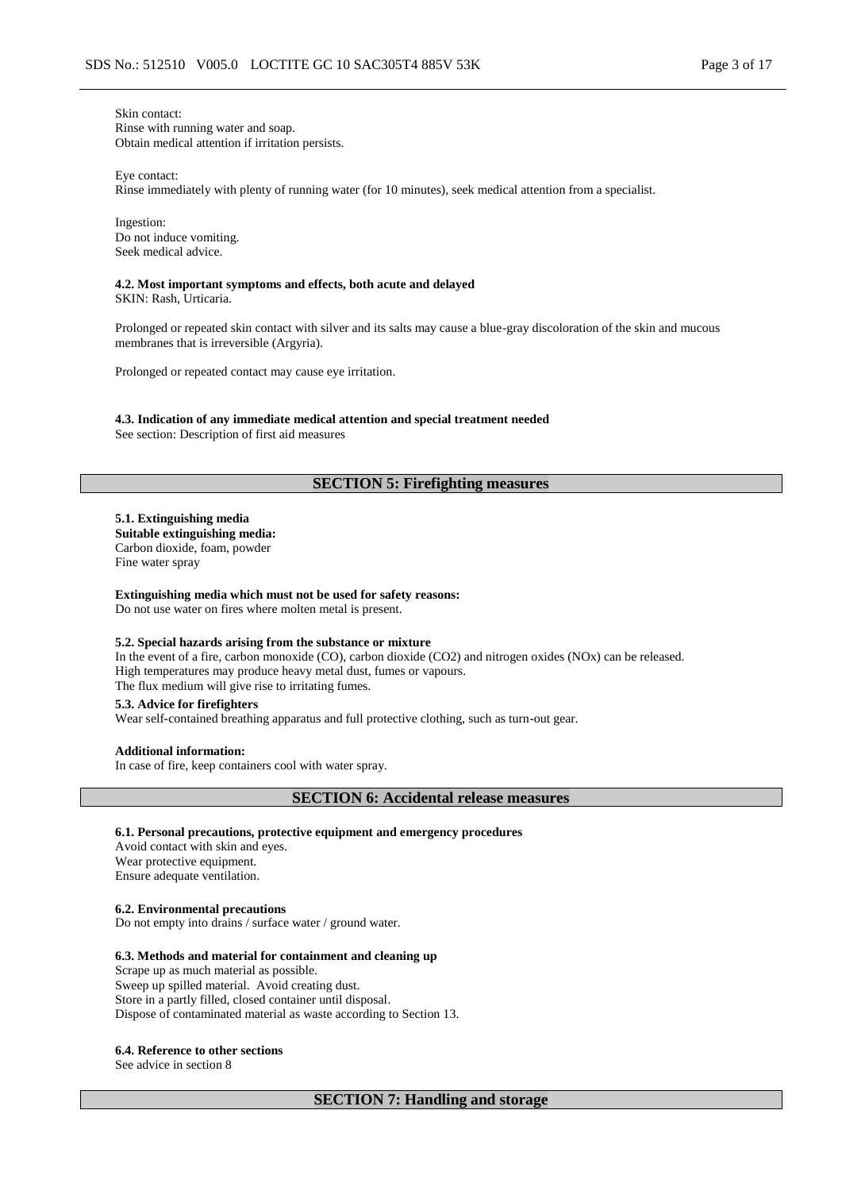Skin contact: Rinse with running water and soap. Obtain medical attention if irritation persists.

Eye contact:

Rinse immediately with plenty of running water (for 10 minutes), seek medical attention from a specialist.

Ingestion: Do not induce vomiting. Seek medical advice.

# **4.2. Most important symptoms and effects, both acute and delayed**

SKIN: Rash, Urticaria.

Prolonged or repeated skin contact with silver and its salts may cause a blue-gray discoloration of the skin and mucous membranes that is irreversible (Argyria).

Prolonged or repeated contact may cause eye irritation.

**4.3. Indication of any immediate medical attention and special treatment needed** See section: Description of first aid measures

#### **SECTION 5: Firefighting measures**

**5.1. Extinguishing media Suitable extinguishing media:** Carbon dioxide, foam, powder Fine water spray

**Extinguishing media which must not be used for safety reasons:** Do not use water on fires where molten metal is present.

### **5.2. Special hazards arising from the substance or mixture**

In the event of a fire, carbon monoxide (CO), carbon dioxide (CO2) and nitrogen oxides (NOx) can be released. High temperatures may produce heavy metal dust, fumes or vapours. The flux medium will give rise to irritating fumes.

### **5.3. Advice for firefighters**

Wear self-contained breathing apparatus and full protective clothing, such as turn-out gear.

#### **Additional information:**

In case of fire, keep containers cool with water spray.

### **SECTION 6: Accidental release measures**

#### **6.1. Personal precautions, protective equipment and emergency procedures**

Avoid contact with skin and eyes. Wear protective equipment. Ensure adequate ventilation.

#### **6.2. Environmental precautions**

Do not empty into drains / surface water / ground water.

#### **6.3. Methods and material for containment and cleaning up**

Scrape up as much material as possible. Sweep up spilled material. Avoid creating dust. Store in a partly filled, closed container until disposal. Dispose of contaminated material as waste according to Section 13.

#### **6.4. Reference to other sections**

See advice in section 8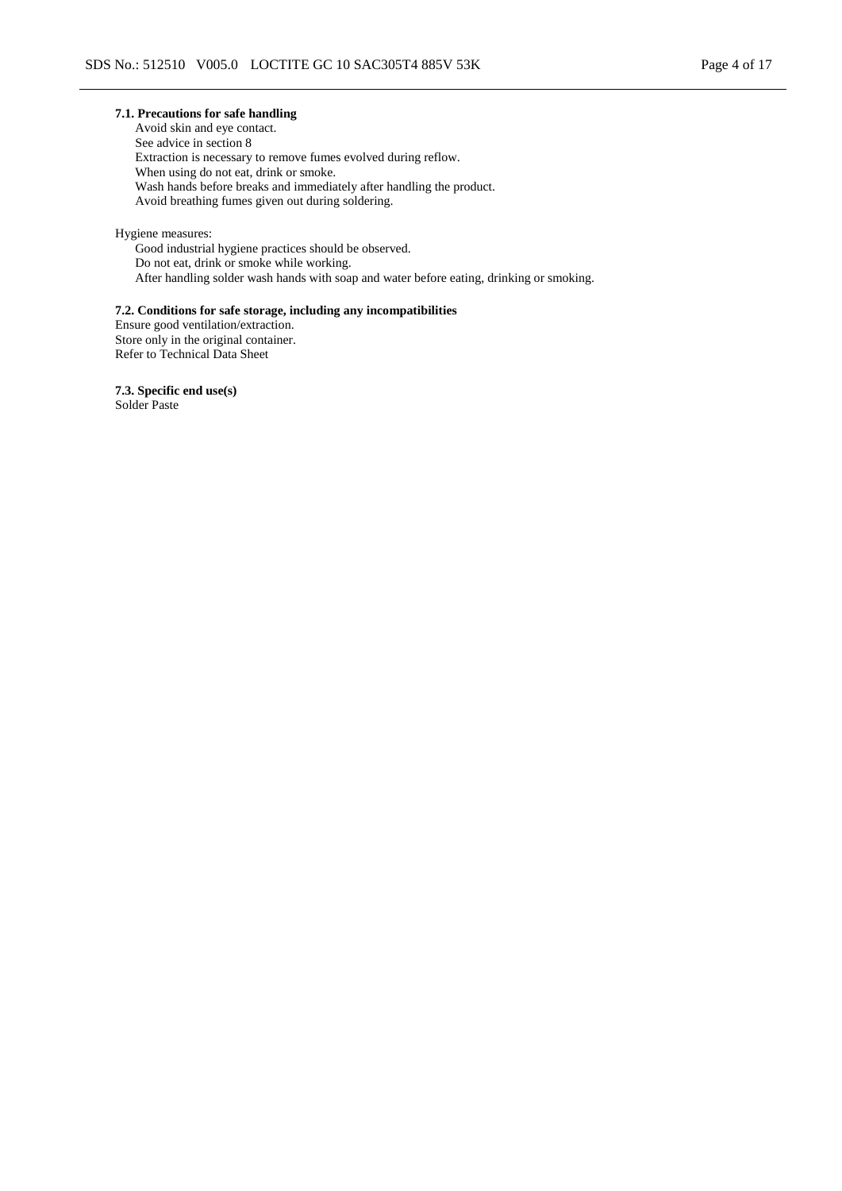### **7.1. Precautions for safe handling**

Avoid skin and eye contact. See advice in section 8 Extraction is necessary to remove fumes evolved during reflow. When using do not eat, drink or smoke. Wash hands before breaks and immediately after handling the product. Avoid breathing fumes given out during soldering.

Hygiene measures: Good industrial hygiene practices should be observed. Do not eat, drink or smoke while working. After handling solder wash hands with soap and water before eating, drinking or smoking.

### **7.2. Conditions for safe storage, including any incompatibilities**

Ensure good ventilation/extraction. Store only in the original container. Refer to Technical Data Sheet

**7.3. Specific end use(s)** Solder Paste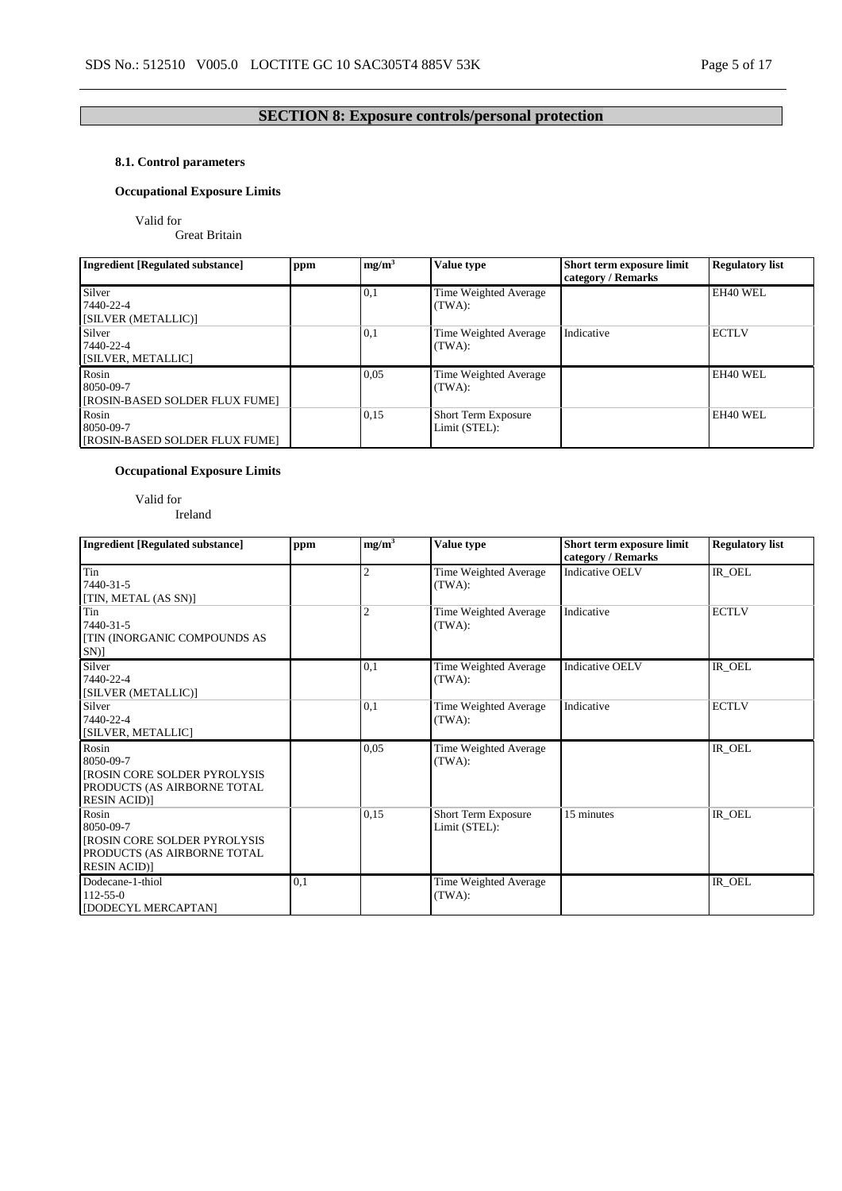# **SECTION 8: Exposure controls/personal protection**

# **8.1. Control parameters**

# **Occupational Exposure Limits**

Valid for

Great Britain

| <b>Ingredient [Regulated substance]</b>              | ppm | mg/m <sup>3</sup> | <b>Value type</b>                    | Short term exposure limit<br>category / Remarks | <b>Regulatory list</b> |
|------------------------------------------------------|-----|-------------------|--------------------------------------|-------------------------------------------------|------------------------|
| Silver<br>7440-22-4<br>[SILVER (METALLIC)]           |     | 0,1               | Time Weighted Average<br>(TWA):      |                                                 | <b>EH40 WEL</b>        |
| Silver<br>7440-22-4<br>[SILVER, METALLIC]            |     | 0,1               | Time Weighted Average<br>(TWA):      | Indicative                                      | <b>ECTLV</b>           |
| Rosin<br>8050-09-7<br>[ROSIN-BASED SOLDER FLUX FUME] |     | 0,05              | Time Weighted Average<br>(TWA):      |                                                 | EH40 WEL               |
| Rosin<br>8050-09-7<br>[ROSIN-BASED SOLDER FLUX FUME] |     | 0,15              | Short Term Exposure<br>Limit (STEL): |                                                 | EH40 WEL               |

# **Occupational Exposure Limits**

Valid for Ireland

| <b>Ingredient [Regulated substance]</b>                                                                        | ppm | mg/m <sup>3</sup> | Value type                                  | Short term exposure limit<br>category / Remarks | <b>Regulatory list</b> |
|----------------------------------------------------------------------------------------------------------------|-----|-------------------|---------------------------------------------|-------------------------------------------------|------------------------|
| Tin<br>7440-31-5<br>[TIN, METAL (AS SN)]                                                                       |     | 2                 | Time Weighted Average<br>(TWA):             | <b>Indicative OELV</b>                          | IR OEL                 |
| Tin<br>7440-31-5<br><b>[TIN (INORGANIC COMPOUNDS AS</b><br>SN)]                                                |     | $\overline{c}$    | Time Weighted Average<br>(TWA):             | Indicative                                      | <b>ECTLV</b>           |
| Silver<br>7440-22-4<br>[SILVER (METALLIC)]                                                                     |     | 0,1               | Time Weighted Average<br>(TWA):             | <b>Indicative OELV</b>                          | IR_OEL                 |
| Silver<br>7440-22-4<br>[SILVER, METALLIC]                                                                      |     | 0.1               | Time Weighted Average<br>(TWA):             | Indicative                                      | <b>ECTLV</b>           |
| Rosin<br>8050-09-7<br>[ROSIN CORE SOLDER PYROLYSIS]<br>PRODUCTS (AS AIRBORNE TOTAL<br><b>RESIN ACID)</b>       |     | 0,05              | Time Weighted Average<br>(TWA):             |                                                 | IR_OEL                 |
| Rosin<br>8050-09-7<br><b>[ROSIN CORE SOLDER PYROLYSIS</b><br>PRODUCTS (AS AIRBORNE TOTAL<br><b>RESIN ACID)</b> |     | 0.15              | <b>Short Term Exposure</b><br>Limit (STEL): | 15 minutes                                      | IR_OEL                 |
| Dodecane-1-thiol<br>$112 - 55 - 0$<br>[DODECYL MERCAPTAN]                                                      | 0,1 |                   | Time Weighted Average<br>(TWA):             |                                                 | IR_OEL                 |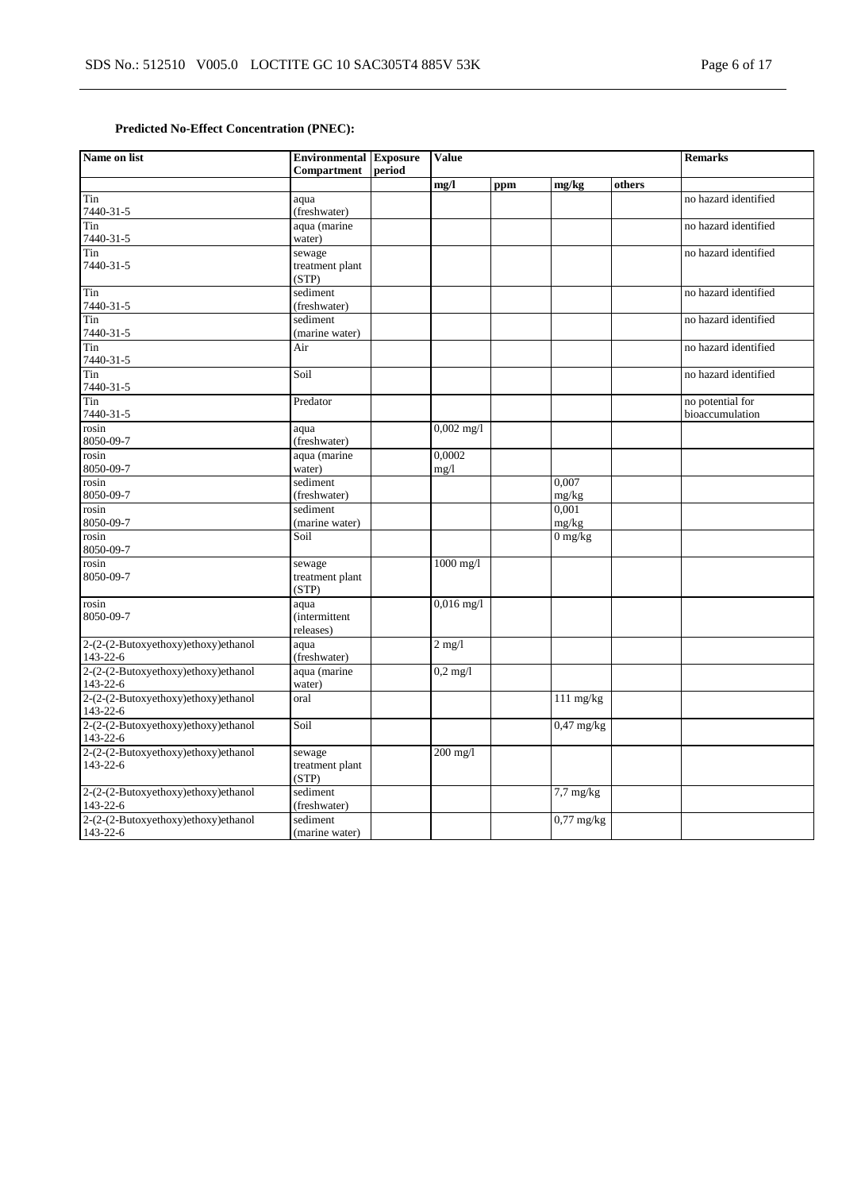# **Predicted No-Effect Concentration (PNEC):**

| Name on list                                    | <b>Environmental Exposure</b><br><b>Compartment</b> | period | <b>Value</b>   |     |                |        | <b>Remarks</b>                      |
|-------------------------------------------------|-----------------------------------------------------|--------|----------------|-----|----------------|--------|-------------------------------------|
|                                                 |                                                     |        | mg/l           | ppm | mg/kg          | others |                                     |
| Tin<br>7440-31-5                                | aqua<br>(freshwater)                                |        |                |     |                |        | no hazard identified                |
| Tin<br>7440-31-5                                | aqua (marine<br>water)                              |        |                |     |                |        | no hazard identified                |
| Tin<br>7440-31-5                                | sewage<br>treatment plant<br>(STP)                  |        |                |     |                |        | no hazard identified                |
| Tin<br>7440-31-5                                | sediment<br>(freshwater)                            |        |                |     |                |        | no hazard identified                |
| Tin<br>7440-31-5                                | sediment<br>(marine water)                          |        |                |     |                |        | no hazard identified                |
| Tin<br>7440-31-5                                | Air                                                 |        |                |     |                |        | no hazard identified                |
| Tin<br>7440-31-5                                | Soil                                                |        |                |     |                |        | no hazard identified                |
| Tin<br>7440-31-5                                | Predator                                            |        |                |     |                |        | no potential for<br>bioaccumulation |
| rosin<br>8050-09-7                              | aqua<br>(freshwater)                                |        | $0,002$ mg/l   |     |                |        |                                     |
| rosin<br>8050-09-7                              | aqua (marine<br>water)                              |        | 0.0002<br>mg/1 |     |                |        |                                     |
| rosin<br>8050-09-7                              | sediment<br>(freshwater)                            |        |                |     | 0.007<br>mg/kg |        |                                     |
| rosin<br>8050-09-7                              | sediment<br>(marine water)                          |        |                |     | 0,001<br>mg/kg |        |                                     |
| rosin<br>8050-09-7                              | Soil                                                |        |                |     | $0$ mg/kg      |        |                                     |
| rosin<br>8050-09-7                              | sewage<br>treatment plant<br>(STP)                  |        | $1000$ mg/l    |     |                |        |                                     |
| rosin<br>8050-09-7                              | aqua<br><i>(intermittent)</i><br>releases)          |        | $0,016$ mg/l   |     |                |        |                                     |
| 2-(2-(2-Butoxyethoxy)ethoxy)ethanol<br>143-22-6 | aqua<br>(freshwater)                                |        | $2$ mg/l       |     |                |        |                                     |
| 2-(2-(2-Butoxyethoxy)ethoxy)ethanol<br>143-22-6 | aqua (marine<br>water)                              |        | $0.2$ mg/l     |     |                |        |                                     |
| 2-(2-(2-Butoxyethoxy)ethoxy)ethanol<br>143-22-6 | oral                                                |        |                |     | $111$ mg/kg    |        |                                     |
| 2-(2-(2-Butoxyethoxy)ethoxy)ethanol<br>143-22-6 | Soil                                                |        |                |     | $0,47$ mg/kg   |        |                                     |
| 2-(2-(2-Butoxyethoxy)ethoxy)ethanol<br>143-22-6 | sewage<br>treatment plant<br>(STP)                  |        | $200$ mg/l     |     |                |        |                                     |
| 2-(2-(2-Butoxyethoxy)ethoxy)ethanol<br>143-22-6 | sediment<br>(freshwater)                            |        |                |     | $7,7$ mg/kg    |        |                                     |
| 2-(2-(2-Butoxyethoxy)ethoxy)ethanol<br>143-22-6 | sediment<br>(marine water)                          |        |                |     | $0,77$ mg/kg   |        |                                     |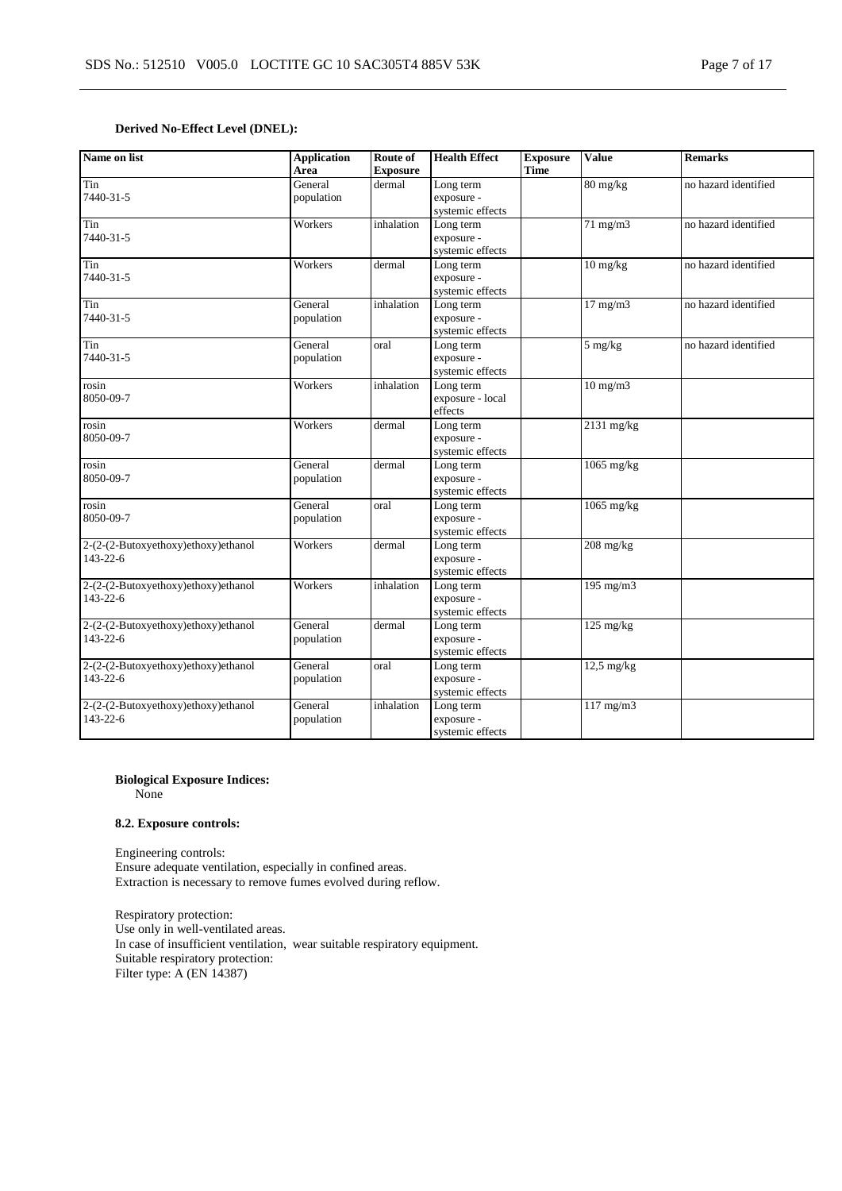## **Derived No-Effect Level (DNEL):**

| Name on list                                          | <b>Application</b><br>Area | Route of<br><b>Exposure</b> | <b>Health Effect</b>                        | <b>Exposure</b><br><b>Time</b> | <b>Value</b>          | <b>Remarks</b>       |
|-------------------------------------------------------|----------------------------|-----------------------------|---------------------------------------------|--------------------------------|-----------------------|----------------------|
| Tin<br>7440-31-5                                      | General<br>population      | dermal                      | Long term<br>exposure -<br>systemic effects |                                | $80 \,\mathrm{mg/kg}$ | no hazard identified |
| Tin<br>7440-31-5                                      | Workers                    | inhalation                  | Long term<br>exposure -<br>systemic effects |                                | $71 \text{ mg/m}$     | no hazard identified |
| Tin<br>7440-31-5                                      | Workers                    | dermal                      | Long term<br>exposure -<br>systemic effects |                                | $10 \text{ mg/kg}$    | no hazard identified |
| Tin<br>7440-31-5                                      | General<br>population      | inhalation                  | Long term<br>exposure -<br>systemic effects |                                | $17 \text{ mg/m}$     | no hazard identified |
| Tin<br>7440-31-5                                      | General<br>population      | oral                        | Long term<br>exposure -<br>systemic effects |                                | $5$ mg/kg             | no hazard identified |
| rosin<br>8050-09-7                                    | Workers                    | inhalation                  | Long term<br>exposure - local<br>effects    |                                | $10 \text{ mg/m}$     |                      |
| rosin<br>8050-09-7                                    | Workers                    | dermal                      | Long term<br>exposure -<br>systemic effects |                                | $2131$ mg/kg          |                      |
| rosin<br>8050-09-7                                    | General<br>population      | dermal                      | Long term<br>exposure -<br>systemic effects |                                | $1065$ mg/kg          |                      |
| rosin<br>8050-09-7                                    | General<br>population      | oral                        | Long term<br>exposure -<br>systemic effects |                                | $1065$ mg/kg          |                      |
| 2-(2-(2-Butoxyethoxy)ethoxy)ethanol<br>143-22-6       | Workers                    | dermal                      | Long term<br>exposure -<br>systemic effects |                                | $208$ mg/kg           |                      |
| 2-(2-(2-Butoxyethoxy)ethoxy)ethanol<br>$143 - 22 - 6$ | Workers                    | inhalation                  | Long term<br>exposure -<br>systemic effects |                                | $195$ mg/m $3$        |                      |
| 2-(2-(2-Butoxyethoxy)ethoxy)ethanol<br>$143 - 22 - 6$ | General<br>population      | dermal                      | Long term<br>exposure -<br>systemic effects |                                | $125 \text{ mg/kg}$   |                      |
| 2-(2-(2-Butoxyethoxy)ethoxy)ethanol<br>143-22-6       | General<br>population      | oral                        | Long term<br>exposure -<br>systemic effects |                                | $12.5$ mg/kg          |                      |
| 2-(2-(2-Butoxyethoxy)ethoxy)ethanol<br>143-22-6       | General<br>population      | inhalation                  | Long term<br>exposure -<br>systemic effects |                                | $117$ mg/m $3$        |                      |

# **Biological Exposure Indices:**

None

### **8.2. Exposure controls:**

Engineering controls: Ensure adequate ventilation, especially in confined areas. Extraction is necessary to remove fumes evolved during reflow.

Respiratory protection: Use only in well-ventilated areas. In case of insufficient ventilation, wear suitable respiratory equipment. Suitable respiratory protection: Filter type: A (EN 14387)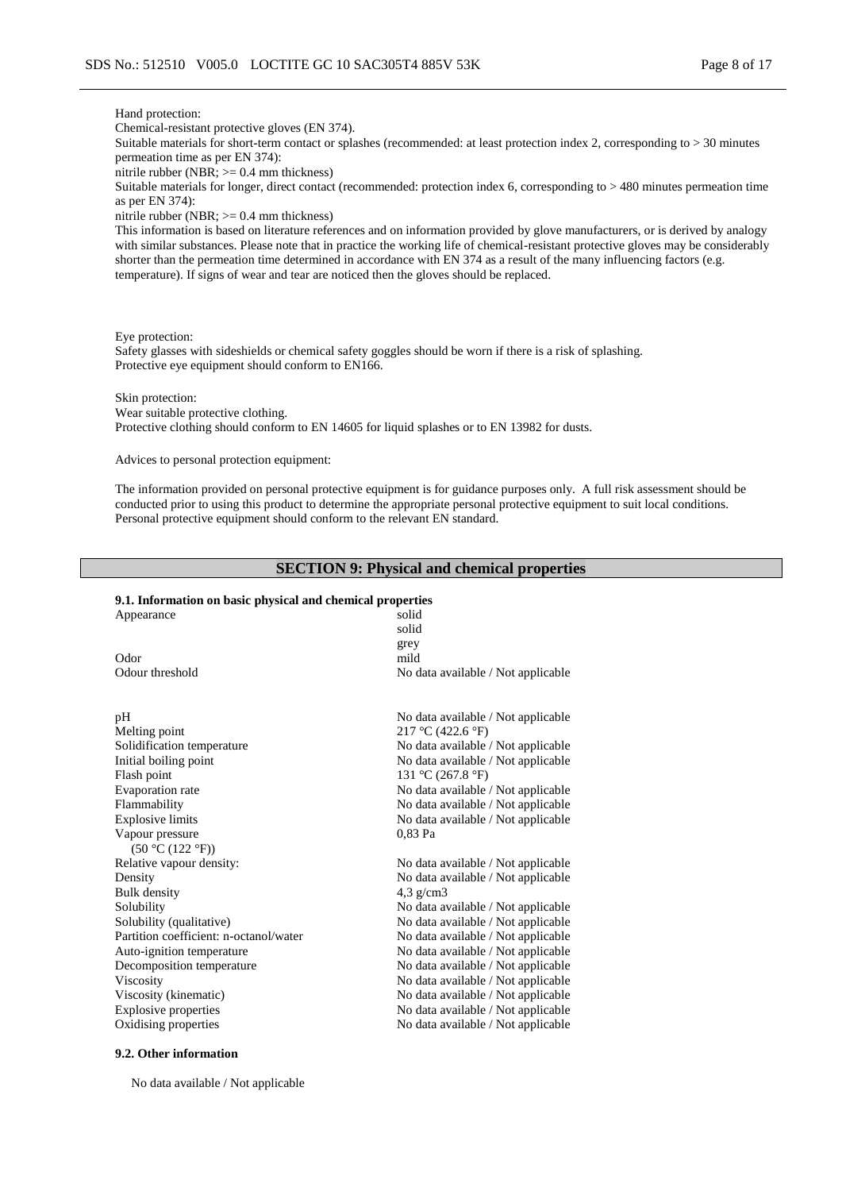#### Hand protection:

Chemical-resistant protective gloves (EN 374).

Suitable materials for short-term contact or splashes (recommended: at least protection index 2, corresponding to > 30 minutes permeation time as per EN 374):

nitrile rubber (NBR; >= 0.4 mm thickness)

Suitable materials for longer, direct contact (recommended: protection index 6, corresponding to > 480 minutes permeation time as per EN 374):

nitrile rubber (NBR; >= 0.4 mm thickness)

This information is based on literature references and on information provided by glove manufacturers, or is derived by analogy with similar substances. Please note that in practice the working life of chemical-resistant protective gloves may be considerably shorter than the permeation time determined in accordance with EN 374 as a result of the many influencing factors (e.g. temperature). If signs of wear and tear are noticed then the gloves should be replaced.

Eye protection:

Safety glasses with sideshields or chemical safety goggles should be worn if there is a risk of splashing. Protective eye equipment should conform to EN166.

Skin protection:

Wear suitable protective clothing. Protective clothing should conform to EN 14605 for liquid splashes or to EN 13982 for dusts.

Advices to personal protection equipment:

The information provided on personal protective equipment is for guidance purposes only. A full risk assessment should be conducted prior to using this product to determine the appropriate personal protective equipment to suit local conditions. Personal protective equipment should conform to the relevant EN standard.

### **SECTION 9: Physical and chemical properties**

#### **9.1. Information on basic physical and chemical properties**

| Appearance                             | solid                                 |
|----------------------------------------|---------------------------------------|
|                                        | solid                                 |
|                                        | grey                                  |
| Odor                                   | mild                                  |
| Odour threshold                        | No data available / Not applicable    |
| pH                                     | No data available / Not applicable    |
| Melting point                          | $217 \text{ °C}$ (422.6 $\text{°F}$ ) |
| Solidification temperature             | No data available / Not applicable    |
| Initial boiling point                  | No data available / Not applicable    |
| Flash point                            | 131 °C (267.8 °F)                     |
| Evaporation rate                       | No data available / Not applicable    |
| Flammability                           | No data available / Not applicable    |
| <b>Explosive limits</b>                | No data available / Not applicable    |
| Vapour pressure                        | 0,83 Pa                               |
| (50 °C (122 °F))                       |                                       |
| Relative vapour density:               | No data available / Not applicable    |
| Density                                | No data available / Not applicable    |
| <b>Bulk</b> density                    | $4.3$ g/cm3                           |
| Solubility                             | No data available / Not applicable    |
| Solubility (qualitative)               | No data available / Not applicable    |
| Partition coefficient: n-octanol/water | No data available / Not applicable    |
| Auto-ignition temperature              | No data available / Not applicable    |
| Decomposition temperature              | No data available / Not applicable    |
| Viscosity                              | No data available / Not applicable    |
| Viscosity (kinematic)                  | No data available / Not applicable    |
| <b>Explosive properties</b>            | No data available / Not applicable    |
| Oxidising properties                   | No data available / Not applicable    |

#### **9.2. Other information**

No data available / Not applicable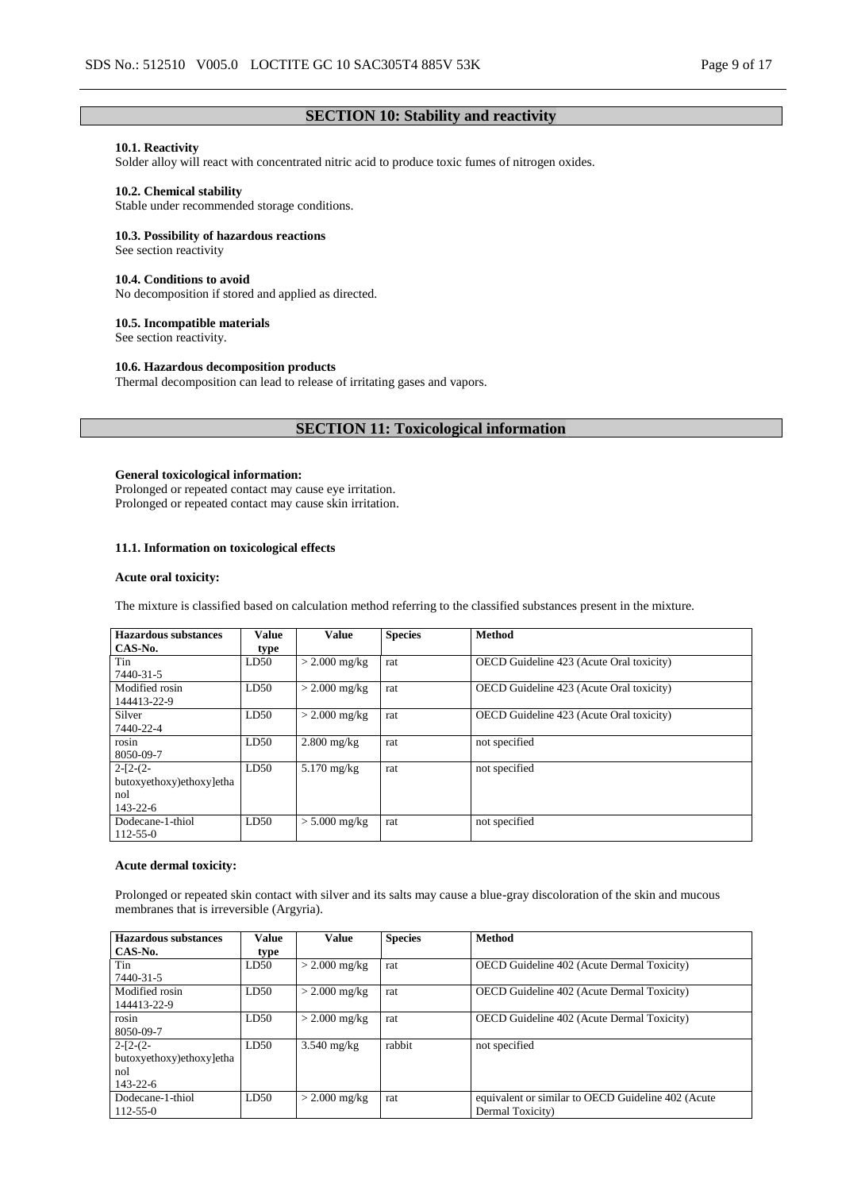# **SECTION 10: Stability and reactivity**

# **10.1. Reactivity**

Solder alloy will react with concentrated nitric acid to produce toxic fumes of nitrogen oxides.

#### **10.2. Chemical stability**

Stable under recommended storage conditions.

#### **10.3. Possibility of hazardous reactions**

See section reactivity

#### **10.4. Conditions to avoid**

No decomposition if stored and applied as directed.

#### **10.5. Incompatible materials**

See section reactivity.

#### **10.6. Hazardous decomposition products**

Thermal decomposition can lead to release of irritating gases and vapors.

# **SECTION 11: Toxicological information**

#### **General toxicological information:**

Prolonged or repeated contact may cause eye irritation. Prolonged or repeated contact may cause skin irritation.

### **11.1. Information on toxicological effects**

#### **Acute oral toxicity:**

The mixture is classified based on calculation method referring to the classified substances present in the mixture.

| <b>Hazardous substances</b> | <b>Value</b> | <b>Value</b>    | <b>Species</b> | <b>Method</b>                                   |
|-----------------------------|--------------|-----------------|----------------|-------------------------------------------------|
| CAS-No.                     | type         |                 |                |                                                 |
| Tin                         | LD50         | $>$ 2.000 mg/kg | rat            | OECD Guideline 423 (Acute Oral toxicity)        |
| 7440-31-5                   |              |                 |                |                                                 |
| Modified rosin              | LD50         | $>$ 2.000 mg/kg | rat            | <b>OECD</b> Guideline 423 (Acute Oral toxicity) |
| 144413-22-9                 |              |                 |                |                                                 |
| Silver                      | LD50         | $> 2.000$ mg/kg | rat            | OECD Guideline 423 (Acute Oral toxicity)        |
| 7440-22-4                   |              |                 |                |                                                 |
| rosin                       | LD50         | $2.800$ mg/kg   | rat            | not specified                                   |
| 8050-09-7                   |              |                 |                |                                                 |
| $2-[2-(2-$                  | LD50         | $5.170$ mg/kg   | rat            | not specified                                   |
| butoxyethoxy)ethoxy]etha    |              |                 |                |                                                 |
| nol                         |              |                 |                |                                                 |
| $143 - 22 - 6$              |              |                 |                |                                                 |
| Dodecane-1-thiol            | LD50         | $> 5.000$ mg/kg | rat            | not specified                                   |
| $112 - 55 - 0$              |              |                 |                |                                                 |

#### **Acute dermal toxicity:**

Prolonged or repeated skin contact with silver and its salts may cause a blue-gray discoloration of the skin and mucous membranes that is irreversible (Argyria).

| <b>Hazardous substances</b> | Value | <b>Value</b>    | <b>Species</b> | <b>Method</b>                                      |
|-----------------------------|-------|-----------------|----------------|----------------------------------------------------|
| CAS-No.                     | type  |                 |                |                                                    |
| Tin                         | LD50  | $>$ 2.000 mg/kg | rat            | <b>OECD</b> Guideline 402 (Acute Dermal Toxicity)  |
| 7440-31-5                   |       |                 |                |                                                    |
| Modified rosin              | LD50  | $>$ 2.000 mg/kg | rat            | <b>OECD</b> Guideline 402 (Acute Dermal Toxicity)  |
| 144413-22-9                 |       |                 |                |                                                    |
| rosin                       | LD50  | $>$ 2.000 mg/kg | rat            | <b>OECD</b> Guideline 402 (Acute Dermal Toxicity)  |
| 8050-09-7                   |       |                 |                |                                                    |
| $2-[2-(2-$                  | LD50  | $3.540$ mg/kg   | rabbit         | not specified                                      |
| butoxyethoxy)ethoxy]etha    |       |                 |                |                                                    |
| nol                         |       |                 |                |                                                    |
| $143 - 22 - 6$              |       |                 |                |                                                    |
| Dodecane-1-thiol            | LD50  | $>$ 2.000 mg/kg | rat            | equivalent or similar to OECD Guideline 402 (Acute |
| $112 - 55 - 0$              |       |                 |                | Dermal Toxicity)                                   |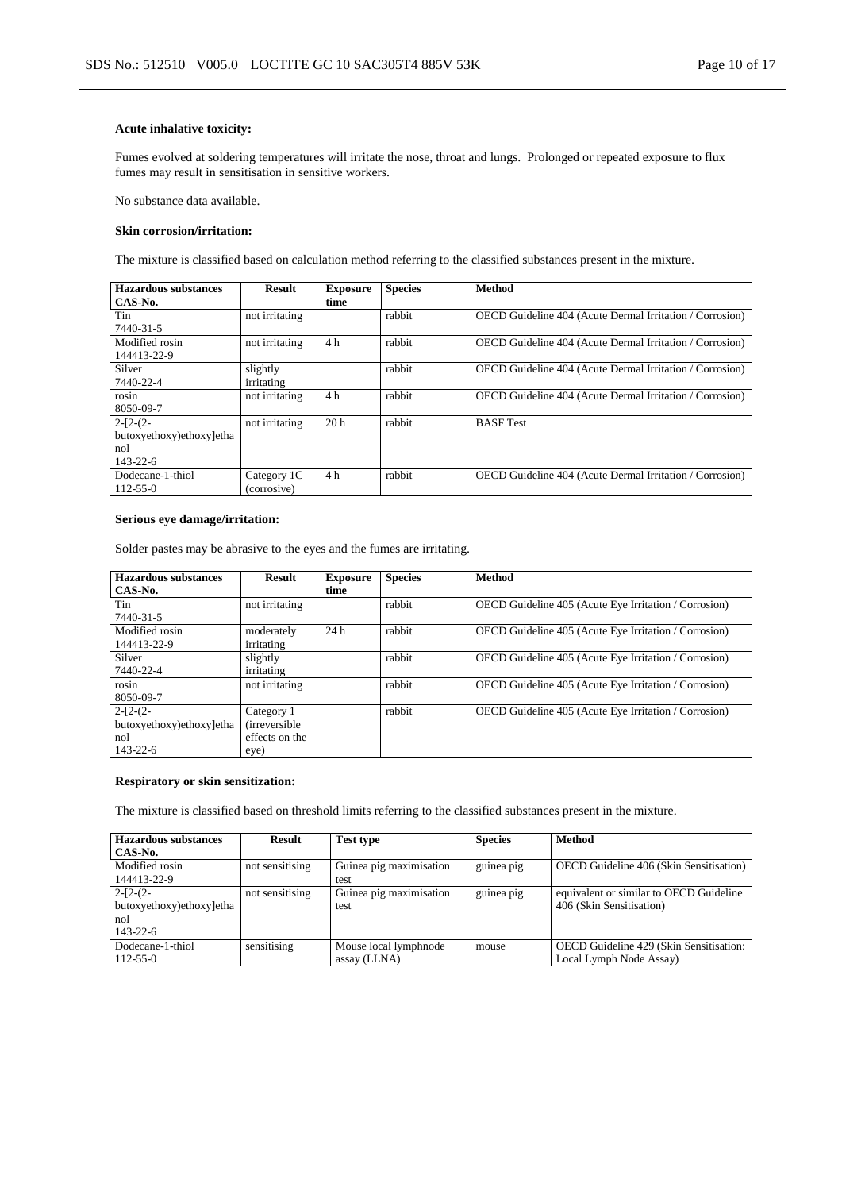#### **Acute inhalative toxicity:**

Fumes evolved at soldering temperatures will irritate the nose, throat and lungs. Prolonged or repeated exposure to flux fumes may result in sensitisation in sensitive workers.

No substance data available.

#### **Skin corrosion/irritation:**

The mixture is classified based on calculation method referring to the classified substances present in the mixture.

| <b>Hazardous substances</b> | <b>Result</b>  | <b>Exposure</b> | <b>Species</b> | <b>Method</b>                                                   |
|-----------------------------|----------------|-----------------|----------------|-----------------------------------------------------------------|
| CAS-No.                     |                | time            |                |                                                                 |
| Tin                         | not irritating |                 | rabbit         | OECD Guideline 404 (Acute Dermal Irritation / Corrosion)        |
| 7440-31-5                   |                |                 |                |                                                                 |
| Modified rosin              | not irritating | 4 <sub>h</sub>  | rabbit         | <b>OECD</b> Guideline 404 (Acute Dermal Irritation / Corrosion) |
| 144413-22-9                 |                |                 |                |                                                                 |
| Silver                      | slightly       |                 | rabbit         | OECD Guideline 404 (Acute Dermal Irritation / Corrosion)        |
| 7440-22-4                   | irritating     |                 |                |                                                                 |
| rosin                       | not irritating | 4 <sub>h</sub>  | rabbit         | OECD Guideline 404 (Acute Dermal Irritation / Corrosion)        |
| 8050-09-7                   |                |                 |                |                                                                 |
| $2-[2-(2-$                  | not irritating | 20 <sub>h</sub> | rabbit         | <b>BASF</b> Test                                                |
| butoxyethoxy)ethoxy]etha    |                |                 |                |                                                                 |
| nol                         |                |                 |                |                                                                 |
| $143 - 22 - 6$              |                |                 |                |                                                                 |
| Dodecane-1-thiol            | Category 1C    | 4 h             | rabbit         | <b>OECD</b> Guideline 404 (Acute Dermal Irritation / Corrosion) |
| $112 - 55 - 0$              | (corrosive)    |                 |                |                                                                 |

#### **Serious eye damage/irritation:**

Solder pastes may be abrasive to the eyes and the fumes are irritating.

| <b>Hazardous substances</b> | Result                | <b>Exposure</b> | <b>Species</b> | <b>Method</b>                                         |
|-----------------------------|-----------------------|-----------------|----------------|-------------------------------------------------------|
| CAS-No.                     |                       | time            |                |                                                       |
| Tin                         | not irritating        |                 | rabbit         | OECD Guideline 405 (Acute Eye Irritation / Corrosion) |
| 7440-31-5                   |                       |                 |                |                                                       |
| Modified rosin              | moderately            | 24h             | rabbit         | OECD Guideline 405 (Acute Eye Irritation / Corrosion) |
| 144413-22-9                 | irritating            |                 |                |                                                       |
| Silver                      | slightly              |                 | rabbit         | OECD Guideline 405 (Acute Eye Irritation / Corrosion) |
| 7440-22-4                   | irritating            |                 |                |                                                       |
| rosin                       | not irritating        |                 | rabbit         | OECD Guideline 405 (Acute Eye Irritation / Corrosion) |
| 8050-09-7                   |                       |                 |                |                                                       |
| $2-[2-(2-$                  | Category 1            |                 | rabbit         | OECD Guideline 405 (Acute Eye Irritation / Corrosion) |
| butoxyethoxy)ethoxy]etha    | <i>(irreversible)</i> |                 |                |                                                       |
| nol                         | effects on the        |                 |                |                                                       |
| $143 - 22 - 6$              | eye)                  |                 |                |                                                       |

### **Respiratory or skin sensitization:**

The mixture is classified based on threshold limits referring to the classified substances present in the mixture.

| <b>Hazardous substances</b> | <b>Result</b>   | <b>Test type</b>        | <b>Species</b> | Method                                  |
|-----------------------------|-----------------|-------------------------|----------------|-----------------------------------------|
| CAS-No.                     |                 |                         |                |                                         |
| Modified rosin              | not sensitising | Guinea pig maximisation | guinea pig     | OECD Guideline 406 (Skin Sensitisation) |
| 144413-22-9                 |                 | test                    |                |                                         |
| $2-[2-(2-$                  | not sensitising | Guinea pig maximisation | guinea pig     | equivalent or similar to OECD Guideline |
| butoxyethoxy)ethoxy]etha    |                 | test                    |                | 406 (Skin Sensitisation)                |
| nol                         |                 |                         |                |                                         |
| $143 - 22 - 6$              |                 |                         |                |                                         |
| Dodecane-1-thiol            | sensitising     | Mouse local lymphnode   | mouse          | OECD Guideline 429 (Skin Sensitisation: |
| $112 - 55 - 0$              |                 | assay (LLNA)            |                | Local Lymph Node Assay)                 |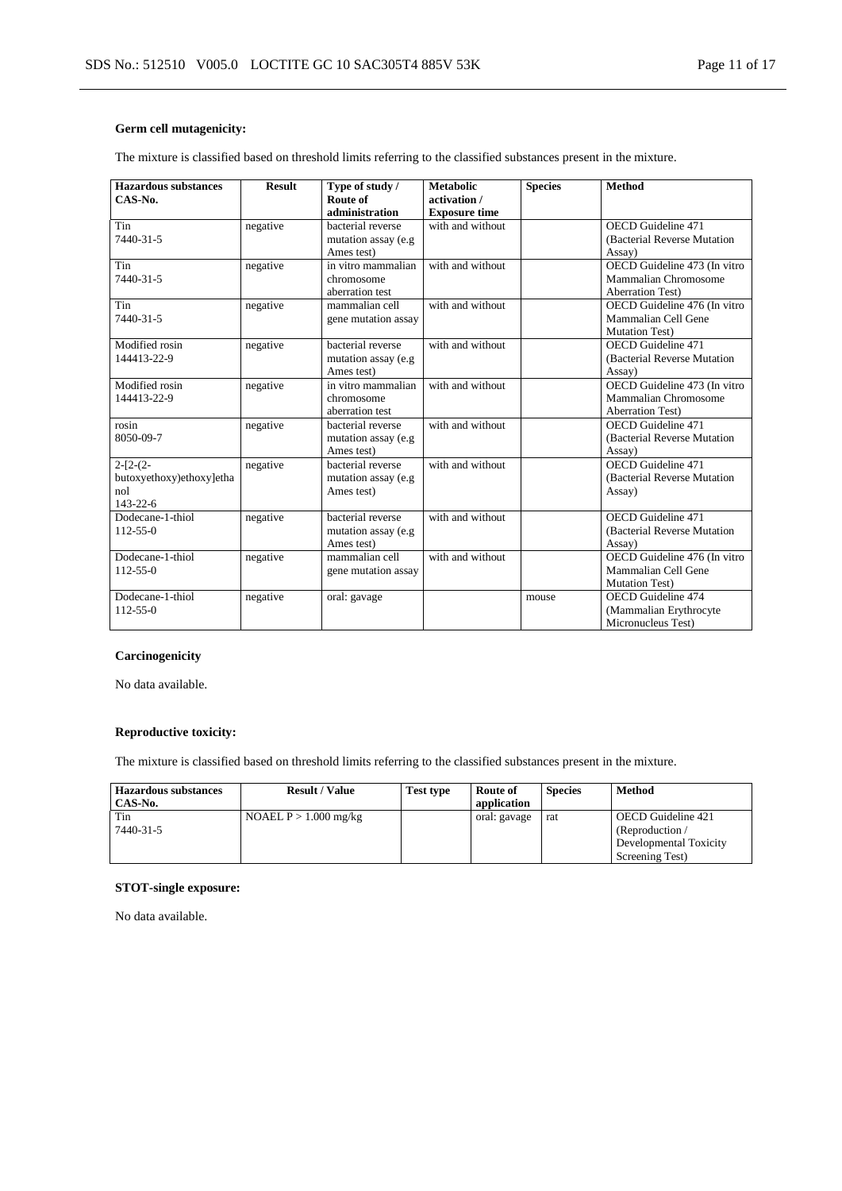# **Germ cell mutagenicity:**

The mixture is classified based on threshold limits referring to the classified substances present in the mixture.

| <b>Hazardous substances</b> | <b>Result</b> | Type of study /     | <b>Metabolic</b>     | <b>Species</b> | <b>Method</b>                |
|-----------------------------|---------------|---------------------|----------------------|----------------|------------------------------|
| CAS-No.                     |               | Route of            | activation /         |                |                              |
|                             |               | administration      | <b>Exposure time</b> |                |                              |
| Tin                         | negative      | bacterial reverse   | with and without     |                | OECD Guideline 471           |
| 7440-31-5                   |               | mutation assay (e.g |                      |                | (Bacterial Reverse Mutation) |
|                             |               | Ames test)          |                      |                | Assay)                       |
| Tin                         | negative      | in vitro mammalian  | with and without     |                | OECD Guideline 473 (In vitro |
| 7440-31-5                   |               | chromosome          |                      |                | Mammalian Chromosome         |
|                             |               | aberration test     |                      |                | <b>Aberration Test)</b>      |
| Tin                         | negative      | mammalian cell      | with and without     |                | OECD Guideline 476 (In vitro |
| 7440-31-5                   |               | gene mutation assay |                      |                | Mammalian Cell Gene          |
|                             |               |                     |                      |                | Mutation Test)               |
| Modified rosin              | negative      | bacterial reverse   | with and without     |                | OECD Guideline 471           |
| 144413-22-9                 |               | mutation assay (e.g |                      |                | (Bacterial Reverse Mutation  |
|                             |               | Ames test)          |                      |                | Assay)                       |
| Modified rosin              | negative      | in vitro mammalian  | with and without     |                | OECD Guideline 473 (In vitro |
| 144413-22-9                 |               | chromosome          |                      |                | Mammalian Chromosome         |
|                             |               | aberration test     |                      |                | <b>Aberration Test)</b>      |
| rosin                       | negative      | bacterial reverse   | with and without     |                | OECD Guideline 471           |
| 8050-09-7                   |               | mutation assay (e.g |                      |                | (Bacterial Reverse Mutation  |
|                             |               | Ames test)          |                      |                | Assay)                       |
| $2-[2-(2-$                  | negative      | bacterial reverse   | with and without     |                | OECD Guideline 471           |
| butoxyethoxy)ethoxy]etha    |               | mutation assay (e.g |                      |                | (Bacterial Reverse Mutation  |
| nol                         |               | Ames test)          |                      |                | Assay)                       |
| $143 - 22 - 6$              |               |                     |                      |                |                              |
| Dodecane-1-thiol            | negative      | bacterial reverse   | with and without     |                | <b>OECD</b> Guideline 471    |
| $112 - 55 - 0$              |               | mutation assay (e.g |                      |                | (Bacterial Reverse Mutation) |
|                             |               | Ames test)          |                      |                | Assay)                       |
| Dodecane-1-thiol            | negative      | mammalian cell      | with and without     |                | OECD Guideline 476 (In vitro |
| $112 - 55 - 0$              |               | gene mutation assay |                      |                | Mammalian Cell Gene          |
|                             |               |                     |                      |                | <b>Mutation Test)</b>        |
| Dodecane-1-thiol            | negative      | oral: gavage        |                      | mouse          | <b>OECD</b> Guideline 474    |
| $112 - 55 - 0$              |               |                     |                      |                | (Mammalian Erythrocyte       |
|                             |               |                     |                      |                | Micronucleus Test)           |

### **Carcinogenicity**

No data available.

# **Reproductive toxicity:**

The mixture is classified based on threshold limits referring to the classified substances present in the mixture.

| <b>Hazardous substances</b><br>CAS-No. | <b>Result / Value</b>   | Test type | Route of<br>application | <b>Species</b> | Method                 |
|----------------------------------------|-------------------------|-----------|-------------------------|----------------|------------------------|
| Tin                                    | NOAEL $P > 1.000$ mg/kg |           | oral: gavage            | rat            | OECD Guideline 421     |
| 7440-31-5                              |                         |           |                         |                | (Reproduction $/$      |
|                                        |                         |           |                         |                | Developmental Toxicity |
|                                        |                         |           |                         |                | Screening Test)        |

### **STOT-single exposure:**

No data available.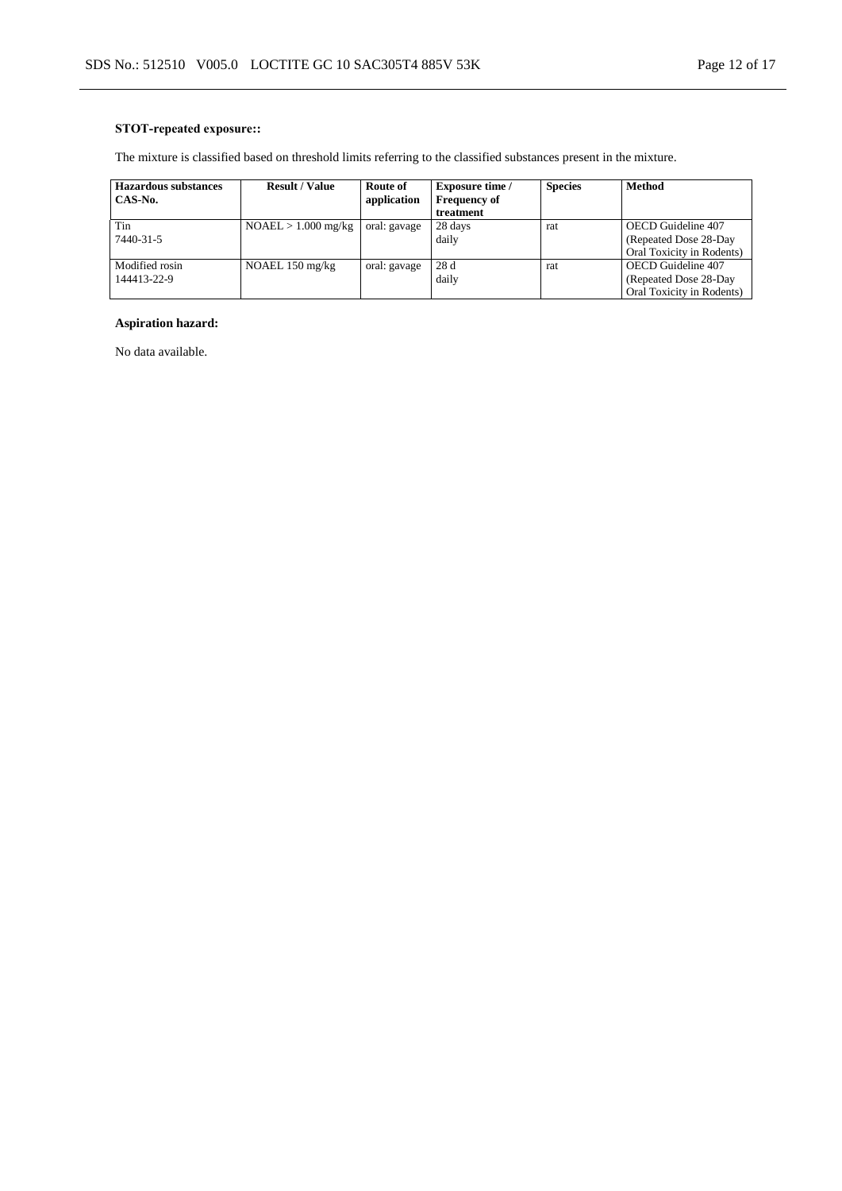# **STOT-repeated exposure::**

The mixture is classified based on threshold limits referring to the classified substances present in the mixture.

| <b>Hazardous substances</b> | <b>Result / Value</b>     | Route of     | <b>Exposure time /</b> | <b>Species</b> | <b>Method</b>             |
|-----------------------------|---------------------------|--------------|------------------------|----------------|---------------------------|
| CAS-No.                     |                           | application  | <b>Frequency of</b>    |                |                           |
|                             |                           |              | treatment              |                |                           |
| Tin                         | $NOAEL > 1.000$ mg/kg     | oral: gavage | 28 days                | rat            | OECD Guideline 407        |
| 7440-31-5                   |                           |              | daily                  |                | (Repeated Dose 28-Day)    |
|                             |                           |              |                        |                | Oral Toxicity in Rodents) |
| Modified rosin              | NOAEL $150 \text{ mg/kg}$ | oral: gavage | 28 d                   | rat            | OECD Guideline 407        |
| 144413-22-9                 |                           |              | daily                  |                | (Repeated Dose 28-Day)    |
|                             |                           |              |                        |                | Oral Toxicity in Rodents) |

# **Aspiration hazard:**

No data available.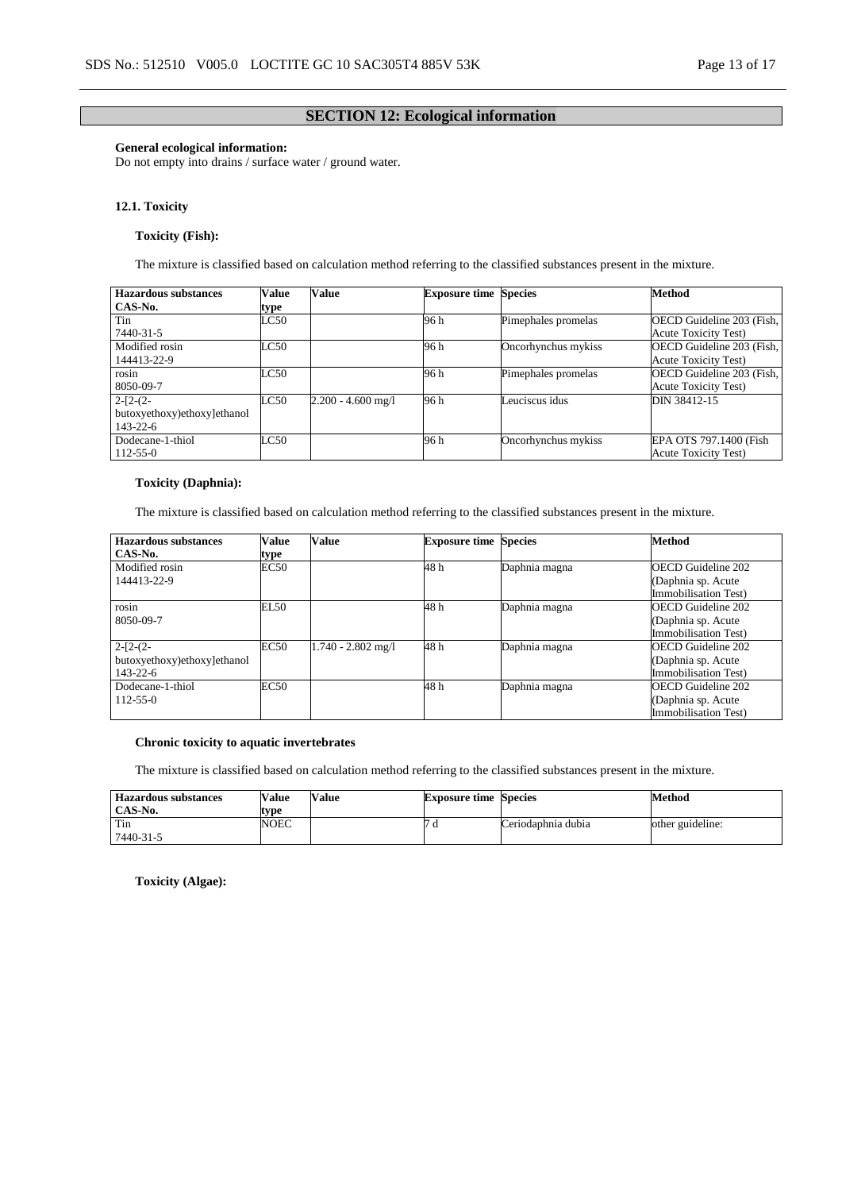### **SECTION 12: Ecological information**

### **General ecological information:**

Do not empty into drains / surface water / ground water.

#### **12.1. Toxicity**

### **Toxicity (Fish):**

The mixture is classified based on calculation method referring to the classified substances present in the mixture.

| Hazardous substances        | <b>Value</b>  | <b>Value</b>         | <b>Exposure time Species</b> |                     | Method                      |
|-----------------------------|---------------|----------------------|------------------------------|---------------------|-----------------------------|
| CAS-No.                     | type          |                      |                              |                     |                             |
| Tin                         | $_{\rm LC50}$ |                      | 96 h                         | Pimephales promelas | OECD Guideline 203 (Fish,   |
| 7440-31-5                   |               |                      |                              |                     | <b>Acute Toxicity Test)</b> |
| Modified rosin              | LC50          |                      | 96 h                         | Oncorhynchus mykiss | OECD Guideline 203 (Fish,   |
| 144413-22-9                 |               |                      |                              |                     | <b>Acute Toxicity Test)</b> |
| rosin                       | LC50          |                      | 96 h                         | Pimephales promelas | OECD Guideline 203 (Fish,   |
| 8050-09-7                   |               |                      |                              |                     | <b>Acute Toxicity Test)</b> |
| $2-[2-(2-$                  | LC50          | $2.200 - 4.600$ mg/l | 96 h                         | Leuciscus idus      | DIN 38412-15                |
| butoxyethoxy)ethoxy]ethanol |               |                      |                              |                     |                             |
| $143 - 22 - 6$              |               |                      |                              |                     |                             |
| Dodecane-1-thiol            | LC50          |                      | 96 h                         | Oncorhynchus mykiss | EPA OTS 797.1400 (Fish      |
| $112 - 55 - 0$              |               |                      |                              |                     | <b>Acute Toxicity Test)</b> |

### **Toxicity (Daphnia):**

The mixture is classified based on calculation method referring to the classified substances present in the mixture.

| <b>Hazardous substances</b><br>CAS-No.                      | Value<br>type | Value                | <b>Exposure time Species</b> |               | <b>Method</b>                                                                   |
|-------------------------------------------------------------|---------------|----------------------|------------------------------|---------------|---------------------------------------------------------------------------------|
| Modified rosin<br>144413-22-9                               | EC50          |                      | 48 h                         | Daphnia magna | OECD Guideline 202<br>(Daphnia sp. Acute)<br><b>Immobilisation Test)</b>        |
| rosin<br>8050-09-7                                          | EL50          |                      | 48 h                         | Daphnia magna | OECD Guideline 202<br>(Daphnia sp. Acute<br>Immobilisation Test)                |
| $2-[2-(2-$<br>butoxyethoxy)ethoxy]ethanol<br>$143 - 22 - 6$ | EC50          | $1.740 - 2.802$ mg/l | 48 h                         | Daphnia magna | OECD Guideline 202<br>(Daphnia sp. Acute<br>Immobilisation Test)                |
| Dodecane-1-thiol<br>$112 - 55 - 0$                          | EC50          |                      | 48 h                         | Daphnia magna | <b>OECD Guideline 202</b><br>(Daphnia sp. Acute)<br><b>Immobilisation Test)</b> |

### **Chronic toxicity to aquatic invertebrates**

The mixture is classified based on calculation method referring to the classified substances present in the mixture.

| <b>Hazardous substances</b><br>CAS-No. | Value<br>tvpe | Value | <b>Exposure time Species</b> |                    | Method           |
|----------------------------------------|---------------|-------|------------------------------|--------------------|------------------|
| Tin<br>7440-31-5                       | NOEC          |       | u                            | Ceriodaphnia dubia | other guideline: |

**Toxicity (Algae):**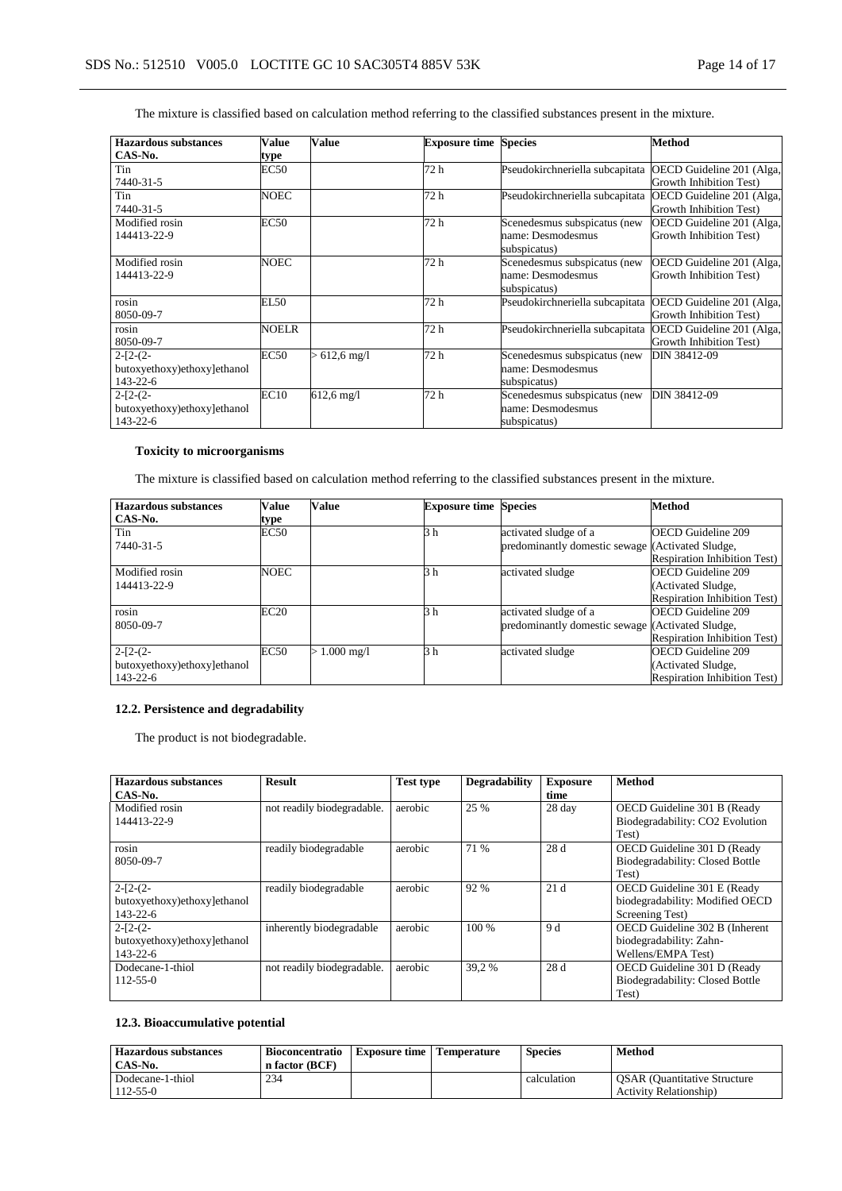## The mixture is classified based on calculation method referring to the classified substances present in the mixture.

| <b>Hazardous substances</b> | Value        | <b>Value</b>         | <b>Exposure time Species</b> |                                 | <b>Method</b>             |
|-----------------------------|--------------|----------------------|------------------------------|---------------------------------|---------------------------|
| CAS-No.                     | type         |                      |                              |                                 |                           |
| Tin                         | EC50         |                      | 72 h                         | Pseudokirchneriella subcapitata | OECD Guideline 201 (Alga, |
| 7440-31-5                   |              |                      |                              |                                 | Growth Inhibition Test)   |
| Tin                         | <b>NOEC</b>  |                      | 72 h                         | Pseudokirchneriella subcapitata | OECD Guideline 201 (Alga, |
| 7440-31-5                   |              |                      |                              |                                 | Growth Inhibition Test)   |
| Modified rosin              | <b>EC50</b>  |                      | 72 h                         | Scenedesmus subspicatus (new    | OECD Guideline 201 (Alga, |
| 144413-22-9                 |              |                      |                              | name: Desmodesmus               | Growth Inhibition Test)   |
|                             |              |                      |                              | subspicatus)                    |                           |
| Modified rosin              | <b>NOEC</b>  |                      | 72 h                         | Scenedesmus subspicatus (new    | OECD Guideline 201 (Alga, |
| 144413-22-9                 |              |                      |                              | name: Desmodesmus               | Growth Inhibition Test)   |
|                             |              |                      |                              | subspicatus)                    |                           |
| rosin                       | EL50         |                      | 72 h                         | Pseudokirchneriella subcapitata | OECD Guideline 201 (Alga, |
| 8050-09-7                   |              |                      |                              |                                 | Growth Inhibition Test)   |
| rosin                       | <b>NOELR</b> |                      | 72 h                         | Pseudokirchneriella subcapitata | OECD Guideline 201 (Alga, |
| 8050-09-7                   |              |                      |                              |                                 | Growth Inhibition Test)   |
| $2-[2-(2-$                  | EC50         | $> 612.6$ mg/l       | 72 h                         | Scenedesmus subspicatus (new    | DIN 38412-09              |
| butoxyethoxy)ethoxy]ethanol |              |                      |                              | name: Desmodesmus               |                           |
| $143 - 22 - 6$              |              |                      |                              | subspicatus)                    |                           |
| $2-[2-(2-$                  | EC10         | $612.6 \text{ mg}/1$ | 72 h                         | Scenedesmus subspicatus (new    | DIN 38412-09              |
| butoxyethoxy)ethoxy]ethanol |              |                      |                              | name: Desmodesmus               |                           |
| $143 - 22 - 6$              |              |                      |                              | subspicatus)                    |                           |

### **Toxicity to microorganisms**

The mixture is classified based on calculation method referring to the classified substances present in the mixture.

| Hazardous substances        | Value       | Value          | <b>Exposure time Species</b> |                                                  | <b>Method</b>                        |
|-----------------------------|-------------|----------------|------------------------------|--------------------------------------------------|--------------------------------------|
| CAS-No.                     | type        |                |                              |                                                  |                                      |
| Tin                         | <b>EC50</b> |                | 3 h                          | activated sludge of a                            | <b>OECD Guideline 209</b>            |
| 7440-31-5                   |             |                |                              | predominantly domestic sewage (Activated Sludge, |                                      |
|                             |             |                |                              |                                                  | Respiration Inhibition Test)         |
| Modified rosin              | <b>NOEC</b> |                | 3 h                          | activated sludge                                 | <b>OECD Guideline 209</b>            |
| 144413-22-9                 |             |                |                              |                                                  | (Activated Sludge,                   |
|                             |             |                |                              |                                                  | <b>Respiration Inhibition Test)</b>  |
| rosin                       | EC20        |                | 3 h                          | activated sludge of a                            | <b>OECD Guideline 209</b>            |
| 8050-09-7                   |             |                |                              | predominantly domestic sewage (Activated Sludge, |                                      |
|                             |             |                |                              |                                                  | <b>Respiration Inhibition Test</b> ) |
| $2-[2-(2-$                  | EC50        | $> 1.000$ mg/l | 3 h                          | activated sludge                                 | <b>OECD Guideline 209</b>            |
| butoxyethoxy)ethoxy]ethanol |             |                |                              |                                                  | (Activated Sludge,                   |
| $143 - 22 - 6$              |             |                |                              |                                                  | <b>Respiration Inhibition Test)</b>  |

### **12.2. Persistence and degradability**

The product is not biodegradable.

| <b>Hazardous substances</b> | <b>Result</b>              | <b>Test type</b> | <b>Degradability</b> | <b>Exposure</b> | <b>Method</b>                   |
|-----------------------------|----------------------------|------------------|----------------------|-----------------|---------------------------------|
| CAS-No.                     |                            |                  |                      | time            |                                 |
| Modified rosin              | not readily biodegradable. | aerobic          | 25 %                 | 28 day          | OECD Guideline 301 B (Ready     |
| 144413-22-9                 |                            |                  |                      |                 | Biodegradability: CO2 Evolution |
|                             |                            |                  |                      |                 | Test)                           |
| rosin                       | readily biodegradable      | aerobic          | 71 %                 | 28 d            | OECD Guideline 301 D (Ready     |
| 8050-09-7                   |                            |                  |                      |                 | Biodegradability: Closed Bottle |
|                             |                            |                  |                      |                 | Test)                           |
| $2-[2-(2-$                  | readily biodegradable      | aerobic          | 92 %                 | 21d             | OECD Guideline 301 E (Ready     |
| butoxyethoxy)ethoxy]ethanol |                            |                  |                      |                 | biodegradability: Modified OECD |
| $143 - 22 - 6$              |                            |                  |                      |                 | Screening Test)                 |
| $2-[2-(2-$                  | inherently biodegradable   | aerobic          | $100\%$              | 9 d             | OECD Guideline 302 B (Inherent  |
| butoxyethoxy)ethoxy]ethanol |                            |                  |                      |                 | biodegradability: Zahn-         |
| $143 - 22 - 6$              |                            |                  |                      |                 | Wellens/EMPA Test)              |
| Dodecane-1-thiol            | not readily biodegradable. | aerobic          | 39.2 %               | 28 d            | OECD Guideline 301 D (Ready     |
| $112 - 55 - 0$              |                            |                  |                      |                 | Biodegradability: Closed Bottle |
|                             |                            |                  |                      |                 | Test)                           |

# **12.3. Bioaccumulative potential**

| <b>Hazardous substances</b><br>CAS-No. | Bioconcentratio<br>n factor (BCF) | <b>Exposure time   Temperature</b> | <b>Species</b> | Method                                                                |
|----------------------------------------|-----------------------------------|------------------------------------|----------------|-----------------------------------------------------------------------|
| Dodecane-1-thiol<br>$112 - 55 - 0$     | 234                               |                                    | calculation    | <b>OSAR</b> (Quantitative Structure<br><b>Activity Relationship</b> ) |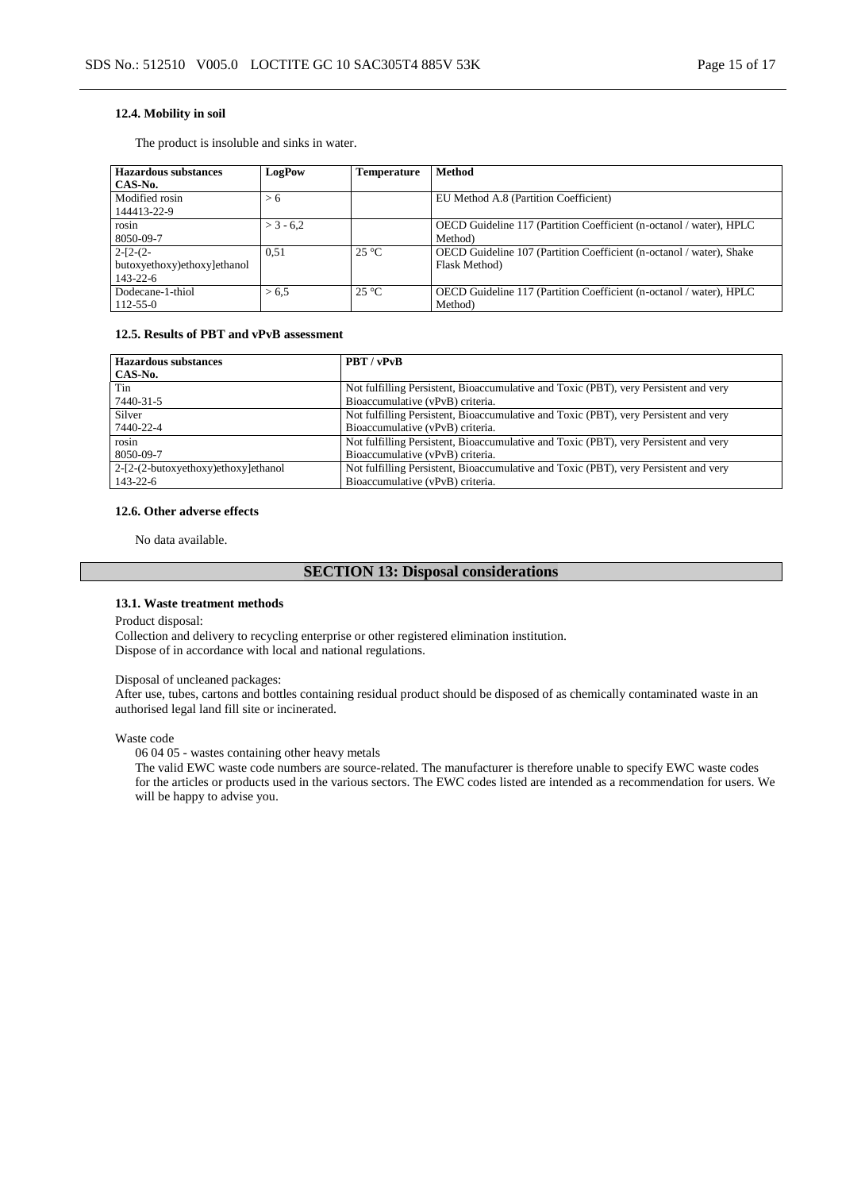#### **12.4. Mobility in soil**

The product is insoluble and sinks in water.

| Hazardous substances<br>CAS-No.                             | LogPow      | Temperature    | <b>Method</b>                                                                         |
|-------------------------------------------------------------|-------------|----------------|---------------------------------------------------------------------------------------|
| Modified rosin<br>144413-22-9                               | > 6         |                | EU Method A.8 (Partition Coefficient)                                                 |
| rosin<br>8050-09-7                                          | $>$ 3 - 6.2 |                | OECD Guideline 117 (Partition Coefficient (n-octanol / water), HPLC<br>Method)        |
| $2-[2-(2-$<br>butoxyethoxy)ethoxy]ethanol<br>$143 - 22 - 6$ | 0.51        | $25^{\circ}$ C | OECD Guideline 107 (Partition Coefficient (n-octanol / water), Shake<br>Flask Method) |
| Dodecane-1-thiol<br>112-55-0                                | > 6.5       | $25^{\circ}C$  | OECD Guideline 117 (Partition Coefficient (n-octanol / water), HPLC<br>Method)        |

### **12.5. Results of PBT and vPvB assessment**

| <b>Hazardous substances</b>         | PBT / vPvB                                                                           |
|-------------------------------------|--------------------------------------------------------------------------------------|
| CAS-No.                             |                                                                                      |
| Tin                                 | Not fulfilling Persistent, Bioaccumulative and Toxic (PBT), very Persistent and very |
| 7440-31-5                           | Bioaccumulative (vPvB) criteria.                                                     |
| Silver                              | Not fulfilling Persistent, Bioaccumulative and Toxic (PBT), very Persistent and very |
| 7440-22-4                           | Bioaccumulative (vPvB) criteria.                                                     |
| rosin                               | Not fulfilling Persistent, Bioaccumulative and Toxic (PBT), very Persistent and very |
| 8050-09-7                           | Bioaccumulative (vPvB) criteria.                                                     |
| 2-[2-(2-butoxyethoxy)ethoxy]ethanol | Not fulfilling Persistent, Bioaccumulative and Toxic (PBT), very Persistent and very |
| 143-22-6                            | Bioaccumulative (vPvB) criteria.                                                     |

#### **12.6. Other adverse effects**

No data available.

# **SECTION 13: Disposal considerations**

#### **13.1. Waste treatment methods**

Product disposal:

Collection and delivery to recycling enterprise or other registered elimination institution. Dispose of in accordance with local and national regulations.

#### Disposal of uncleaned packages:

After use, tubes, cartons and bottles containing residual product should be disposed of as chemically contaminated waste in an authorised legal land fill site or incinerated.

#### Waste code

06 04 05 - wastes containing other heavy metals

The valid EWC waste code numbers are source-related. The manufacturer is therefore unable to specify EWC waste codes for the articles or products used in the various sectors. The EWC codes listed are intended as a recommendation for users. We will be happy to advise you.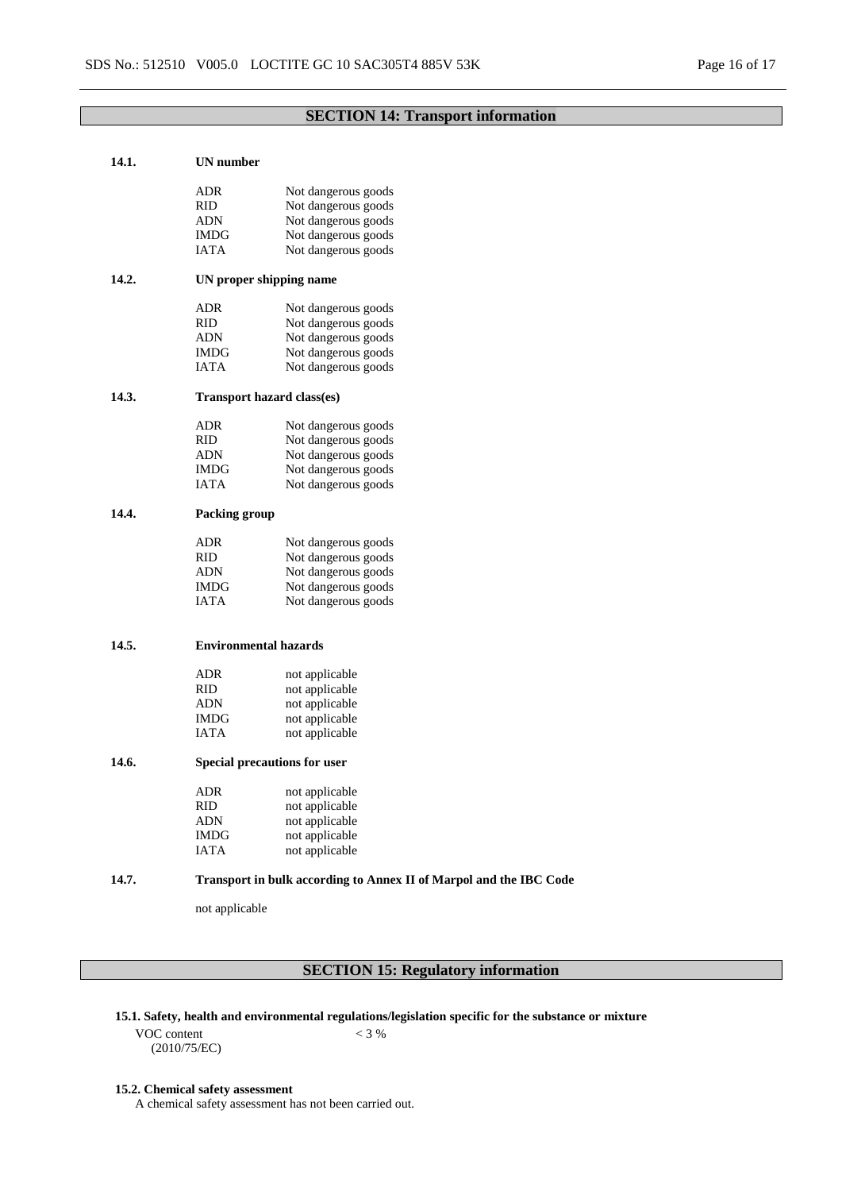# **SECTION 14: Transport information**

| 14.1. | <b>UN</b> number |                                                                    |  |  |  |
|-------|------------------|--------------------------------------------------------------------|--|--|--|
|       | ADR              | Not dangerous goods                                                |  |  |  |
|       | RID              | Not dangerous goods                                                |  |  |  |
|       | <b>ADN</b>       | Not dangerous goods                                                |  |  |  |
|       | IMDG             | Not dangerous goods                                                |  |  |  |
|       | IATA             | Not dangerous goods                                                |  |  |  |
| 14.2. |                  | UN proper shipping name                                            |  |  |  |
|       | ADR              | Not dangerous goods                                                |  |  |  |
|       | RID              | Not dangerous goods                                                |  |  |  |
|       | ADN              | Not dangerous goods                                                |  |  |  |
|       | IMDG             | Not dangerous goods                                                |  |  |  |
|       | <b>IATA</b>      | Not dangerous goods                                                |  |  |  |
| 14.3. |                  | Transport hazard class(es)                                         |  |  |  |
|       | ADR              | Not dangerous goods                                                |  |  |  |
|       | RID              | Not dangerous goods                                                |  |  |  |
|       | ADN              | Not dangerous goods                                                |  |  |  |
|       | <b>IMDG</b>      | Not dangerous goods                                                |  |  |  |
|       | IATA             | Not dangerous goods                                                |  |  |  |
| 14.4. |                  | <b>Packing group</b>                                               |  |  |  |
|       | ADR              | Not dangerous goods                                                |  |  |  |
|       | RID              | Not dangerous goods                                                |  |  |  |
|       | ADN              | Not dangerous goods                                                |  |  |  |
|       | IMDG             | Not dangerous goods                                                |  |  |  |
|       | IATA             | Not dangerous goods                                                |  |  |  |
| 14.5. |                  | <b>Environmental hazards</b>                                       |  |  |  |
|       |                  |                                                                    |  |  |  |
|       | ${\sf ADR}$      | not applicable                                                     |  |  |  |
|       | RID              | not applicable                                                     |  |  |  |
|       | <b>ADN</b>       | not applicable                                                     |  |  |  |
|       | IMDG             | not applicable                                                     |  |  |  |
|       | <b>IATA</b>      | not applicable                                                     |  |  |  |
| 14.6. |                  | Special precautions for user                                       |  |  |  |
|       | <b>ADR</b>       | not applicable                                                     |  |  |  |
|       | RID.             | not applicable                                                     |  |  |  |
|       | <b>ADN</b>       | not applicable                                                     |  |  |  |
|       | <b>IMDG</b>      | not applicable                                                     |  |  |  |
|       | <b>IATA</b>      | not applicable                                                     |  |  |  |
| 14.7. |                  | Transport in bulk according to Annex II of Marpol and the IBC Code |  |  |  |
|       | not applicable   |                                                                    |  |  |  |
|       |                  |                                                                    |  |  |  |

# **SECTION 15: Regulatory information**

- **15.1. Safety, health and environmental regulations/legislation specific for the substance or mixture**
	- VOC content (2010/75/EC)

# $< 3 %$

# **15.2. Chemical safety assessment**

A chemical safety assessment has not been carried out.